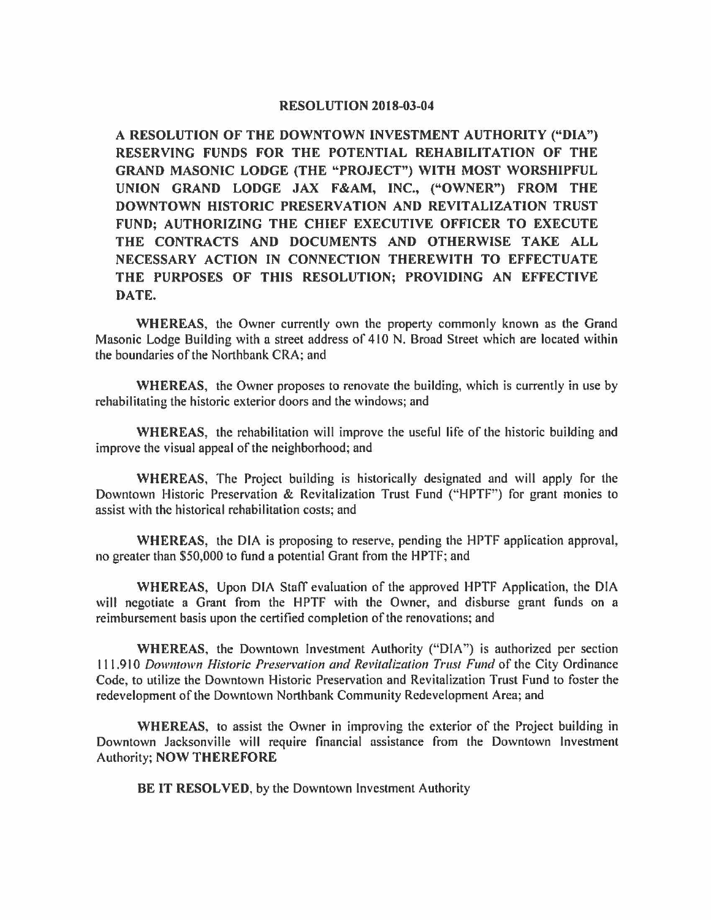## **RESOLUTION 2018-03-04**

**A RESOLUTION OF THE DOWNTOWN INVESTMENT AUTHORITY ("DIA") RESERVING FUNDS FOR THE POTENTIAL REHABILITATION OF THE GRAND MASONIC LODGE (THE "PROJECT") WITH MOST WORSHIPFUL UNION GRAND LODGE JAX F&AM, INC., ("OWNER") FROM THE DOWNTOWN HISTORIC PRESERVATION AND REVITALIZATION TRUST FUND; AUTHORIZING THE CHIEF EXECUTIVE OFFICER TO EXECUTE THE CONTRACTS AND DOCUMENTS AND OTHERWISE TAKE ALL NECESSARY ACTION IN CONNECTION THEREWITH TO EFFECTUATE THE PURPOSES OF THIS RESOLUTION; PROVIDING AN EFFECTIVE DATE.** 

**WHEREAS,** the Owner currently own the property commonly known as the Grand Masonic Lodge Building with a street address of 410 N. Broad Street which are located within the boundaries of the Northbank CRA; and

**WHEREAS,** the Owner proposes to renovate the building, which is currently in use by rehabilitating the historic exterior doors and the windows; and

**WHEREAS,** the rehabilitation will improve the useful life of the historic building and improve the visual appeal of the neighborhood; and

**WHEREAS,** The Project building is historically designated and will apply for the Downtown Historic Preservation & Revitalization Trust Fund ("HPTP') for grant monies to assist with the historical rehabilitation costs; and

**WHEREAS,** the DIA is proposing to reserve, pending the HPTF application approval, no greater than \$50,000 to fund a potential Grant from the HPTF; and

**WHEREAS,** Upon DIA Staff evaluation of the approved HPTF Application, the DIA will negotiate a Grant from the HPTF with the Owner, and disburse grant funds on a reimbursement basis upon the certified completion of the renovations; and

**WHEREAS,** the Downtown Investment Authority ("DIA") is authorized per section I I 1.910 *Downtown Historic Preservation and Revitalization Trust Fund* of the City Ordinance Code, to utilize the Downtown Historic Preservation and Revitalization Trust Fund to foster the redevelopment of the Downtown Northbank Community Redevelopment Area; and

**WHEREAS,** to assist the Owner in improving the exterior of the Project building in Downtown Jacksonville will require financial assistance from the Downtown Investment Authority; **NOW THEREFORE** 

**BE IT RESOLVED,** by the Downtown Investment Authority